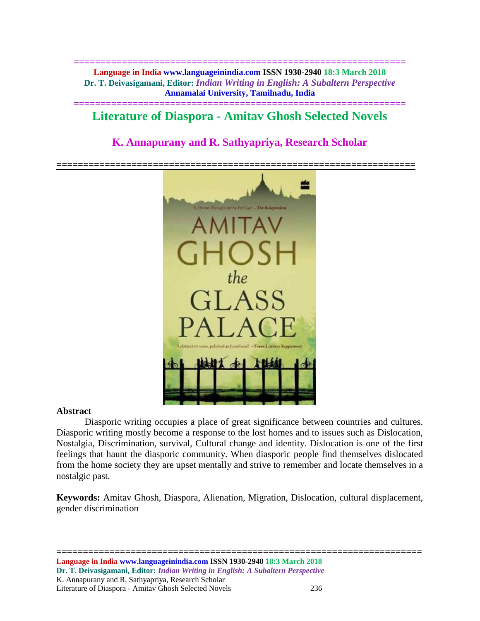**============================================================== Language in India www.languageinindia.com ISSN 1930-2940 18:3 March 2018 Dr. T. Deivasigamani, Editor:** *Indian Writing in English: A Subaltern Perspective* **Annamalai University, Tamilnadu, India**

## **============================================================== Literature of Diaspora - Amitav Ghosh Selected Novels**

# **K. Annapurany and R. Sathyapriya, Research Scholar**



### **Abstract**

Diasporic writing occupies a place of great significance between countries and cultures. Diasporic writing mostly become a response to the lost homes and to issues such as Dislocation, Nostalgia, Discrimination, survival, Cultural change and identity. Dislocation is one of the first feelings that haunt the diasporic community. When diasporic people find themselves dislocated from the home society they are upset mentally and strive to remember and locate themselves in a nostalgic past.

**Keywords:** Amitav Ghosh, Diaspora, Alienation, Migration, Dislocation, cultural displacement, gender discrimination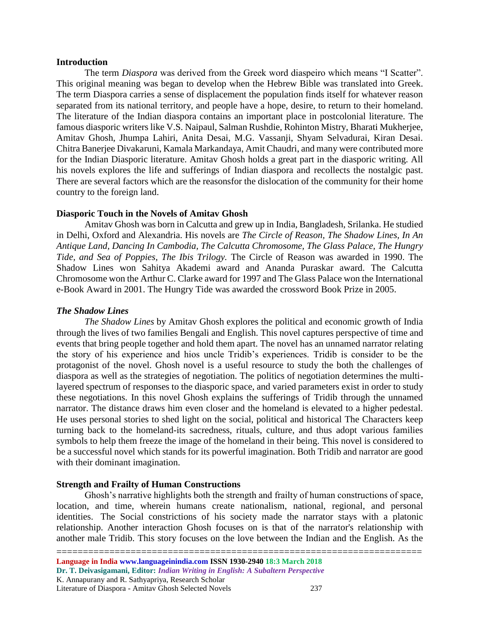#### **Introduction**

The term *Diaspora* was derived from the Greek word diaspeiro which means "I Scatter". This original meaning was began to develop when the Hebrew Bible was translated into Greek. The term Diaspora carries a sense of displacement the population finds itself for whatever reason separated from its national territory, and people have a hope, desire, to return to their homeland. The literature of the Indian diaspora contains an important place in postcolonial literature. The famous diasporic writers like V.S. Naipaul, Salman Rushdie, Rohinton Mistry, Bharati Mukherjee, Amitav Ghosh, Jhumpa Lahiri, Anita Desai, M.G. Vassanji, Shyam Selvadurai, Kiran Desai. Chitra Banerjee Divakaruni, Kamala Markandaya, Amit Chaudri, and many were contributed more for the Indian Diasporic literature. Amitav Ghosh holds a great part in the diasporic writing. All his novels explores the life and sufferings of Indian diaspora and recollects the nostalgic past. There are several factors which are the reasonsfor the dislocation of the community for their home country to the foreign land.

## **Diasporic Touch in the Novels of Amitav Ghosh**

Amitav Ghosh was born in Calcutta and grew up in India, Bangladesh, Srilanka. He studied in Delhi, Oxford and Alexandria. His novels are *The Circle of Reason, The Shadow Lines, In An Antique Land, Dancing In Cambodia, The Calcutta Chromosome, The Glass Palace, The Hungry Tide, and Sea of Poppies, The Ibis Trilogy.* The Circle of Reason was awarded in 1990. The Shadow Lines won Sahitya Akademi award and Ananda Puraskar award. The Calcutta Chromosome won the Arthur C. Clarke award for 1997 and The Glass Palace won the International e-Book Award in 2001. The Hungry Tide was awarded the crossword Book Prize in 2005.

### *The Shadow Lines*

*The Shadow Lines* by Amitav Ghosh explores the political and economic growth of India through the lives of two families Bengali and English. This novel captures perspective of time and events that bring people together and hold them apart. The novel has an unnamed narrator relating the story of his experience and hios uncle Tridib's experiences. Tridib is consider to be the protagonist of the novel. Ghosh novel is a useful resource to study the both the challenges of diaspora as well as the strategies of negotiation. The politics of negotiation determines the multilayered spectrum of responses to the diasporic space, and varied parameters exist in order to study these negotiations. In this novel Ghosh explains the sufferings of Tridib through the unnamed narrator. The distance draws him even closer and the homeland is elevated to a higher pedestal. He uses personal stories to shed light on the social, political and historical The Characters keep turning back to the homeland-its sacredness, rituals, culture, and thus adopt various families symbols to help them freeze the image of the homeland in their being. This novel is considered to be a successful novel which stands for its powerful imagination. Both Tridib and narrator are good with their dominant imagination.

### **Strength and Frailty of Human Constructions**

Ghosh's narrative highlights both the strength and frailty of human constructions of space, location, and time, wherein humans create nationalism, national, regional, and personal identities. The Social constrictions of his society made the narrator stays with a platonic relationship. Another interaction Ghosh focuses on is that of the narrator's relationship with another male Tridib. This story focuses on the love between the Indian and the English. As the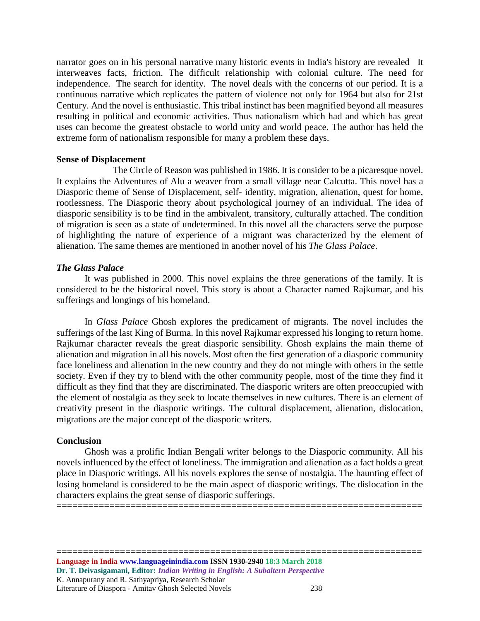narrator goes on in his personal narrative many historic events in India's history are revealed It interweaves facts, friction. The difficult relationship with colonial culture. The need for independence. The search for identity. The novel deals with the concerns of our period. It is a continuous narrative which replicates the pattern of violence not only for 1964 but also for 21st Century. And the novel is enthusiastic. This tribal instinct has been magnified beyond all measures resulting in political and economic activities. Thus nationalism which had and which has great uses can become the greatest obstacle to world unity and world peace. The author has held the extreme form of nationalism responsible for many a problem these days.

#### **Sense of Displacement**

The Circle of Reason was published in 1986. It is consider to be a picaresque novel. It explains the Adventures of Alu a weaver from a small village near Calcutta. This novel has a Diasporic theme of Sense of Displacement, self- identity, migration, alienation, quest for home, rootlessness. The Diasporic theory about psychological journey of an individual. The idea of diasporic sensibility is to be find in the ambivalent, transitory, culturally attached. The condition of migration is seen as a state of undetermined. In this novel all the characters serve the purpose of highlighting the nature of experience of a migrant was characterized by the element of alienation. The same themes are mentioned in another novel of his *The Glass Palace*.

## *The Glass Palace*

It was published in 2000. This novel explains the three generations of the family. It is considered to be the historical novel. This story is about a Character named Rajkumar, and his sufferings and longings of his homeland.

In *Glass Palace* Ghosh explores the predicament of migrants. The novel includes the sufferings of the last King of Burma. In this novel Rajkumar expressed his longing to return home. Rajkumar character reveals the great diasporic sensibility. Ghosh explains the main theme of alienation and migration in all his novels. Most often the first generation of a diasporic community face loneliness and alienation in the new country and they do not mingle with others in the settle society. Even if they try to blend with the other community people, most of the time they find it difficult as they find that they are discriminated. The diasporic writers are often preoccupied with the element of nostalgia as they seek to locate themselves in new cultures. There is an element of creativity present in the diasporic writings. The cultural displacement, alienation, dislocation, migrations are the major concept of the diasporic writers.

### **Conclusion**

Ghosh was a prolific Indian Bengali writer belongs to the Diasporic community. All his novels influenced by the effect of loneliness. The immigration and alienation as a fact holds a great place in Diasporic writings. All his novels explores the sense of nostalgia. The haunting effect of losing homeland is considered to be the main aspect of diasporic writings. The dislocation in the characters explains the great sense of diasporic sufferings. =====================================================================